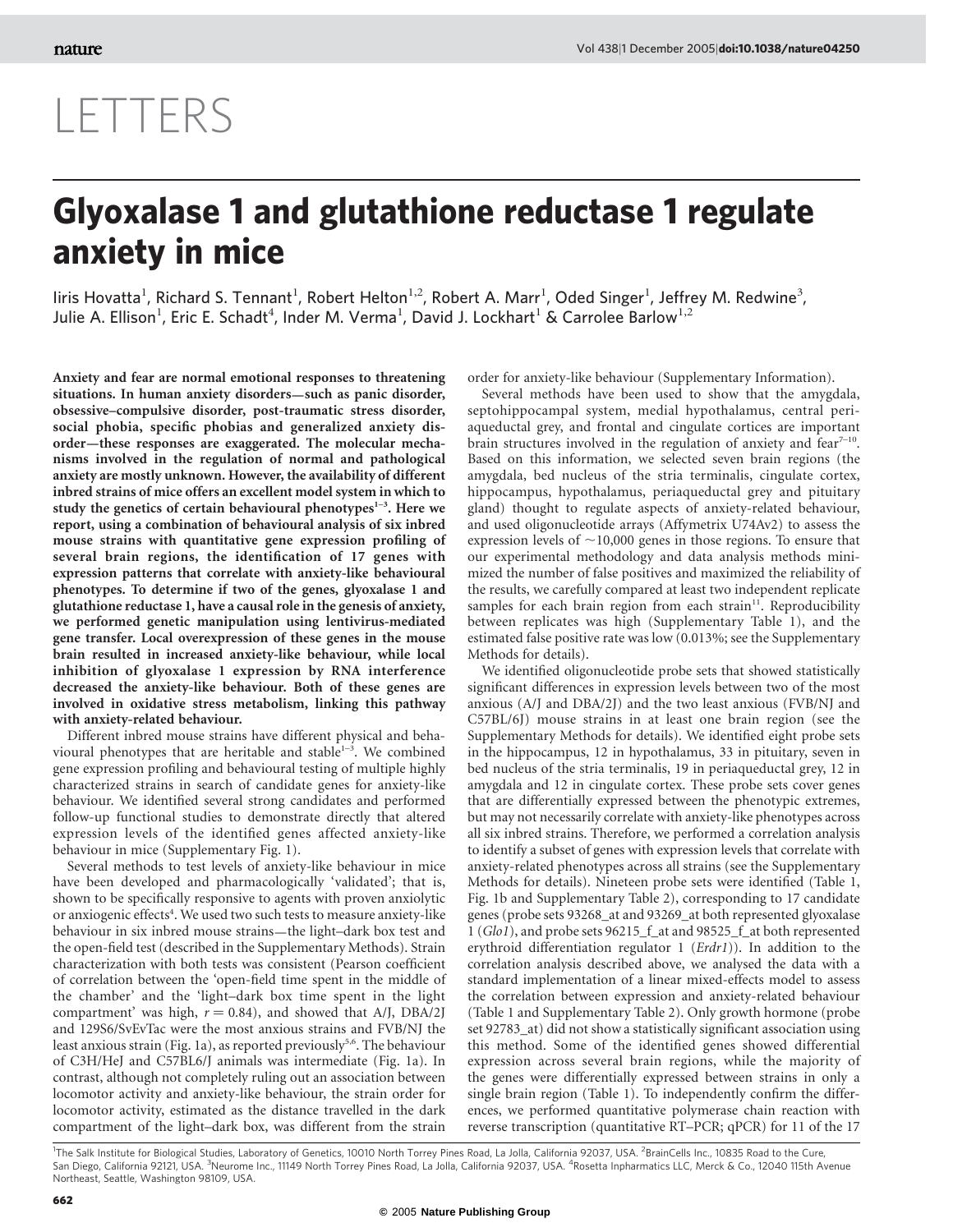## LETTERS

## Glyoxalase 1 and glutathione reductase 1 regulate anxiety in mice

liris Hovatta<sup>1</sup>, Richard S. Tennant<sup>1</sup>, Robert Helton<sup>1,2</sup>, Robert A. Marr<sup>1</sup>, Oded Singer<sup>1</sup>, Jeffrey M. Redwine<sup>3</sup>, Julie A. Ellison<sup>1</sup>, Eric E. Schadt<sup>4</sup>, Inder M. Verma<sup>1</sup>, David J. Lockhart<sup>1</sup> & Carrolee Barlow<sup>1,2</sup>

Anxiety and fear are normal emotional responses to threatening situations. In human anxiety disorders—such as panic disorder, obsessive–compulsive disorder, post-traumatic stress disorder, social phobia, specific phobias and generalized anxiety disorder—these responses are exaggerated. The molecular mechanisms involved in the regulation of normal and pathological anxiety are mostly unknown. However, the availability of different inbred strains of mice offers an excellent model system in which to study the genetics of certain behavioural phenotypes $1-3$ . Here we report, using a combination of behavioural analysis of six inbred mouse strains with quantitative gene expression profiling of several brain regions, the identification of 17 genes with expression patterns that correlate with anxiety-like behavioural phenotypes. To determine if two of the genes, glyoxalase 1 and glutathione reductase 1, have a causal role in the genesis of anxiety, we performed genetic manipulation using lentivirus-mediated gene transfer. Local overexpression of these genes in the mouse brain resulted in increased anxiety-like behaviour, while local inhibition of glyoxalase 1 expression by RNA interference decreased the anxiety-like behaviour. Both of these genes are involved in oxidative stress metabolism, linking this pathway with anxiety-related behaviour.

Different inbred mouse strains have different physical and behavioural phenotypes that are heritable and stable<sup>1-3</sup>. We combined gene expression profiling and behavioural testing of multiple highly characterized strains in search of candidate genes for anxiety-like behaviour. We identified several strong candidates and performed follow-up functional studies to demonstrate directly that altered expression levels of the identified genes affected anxiety-like behaviour in mice (Supplementary Fig. 1).

Several methods to test levels of anxiety-like behaviour in mice have been developed and pharmacologically 'validated'; that is, shown to be specifically responsive to agents with proven anxiolytic or anxiogenic effects<sup>4</sup>. We used two such tests to measure anxiety-like behaviour in six inbred mouse strains—the light–dark box test and the open-field test (described in the Supplementary Methods). Strain characterization with both tests was consistent (Pearson coefficient of correlation between the 'open-field time spent in the middle of the chamber' and the 'light–dark box time spent in the light compartment' was high,  $r = 0.84$ ), and showed that A/J, DBA/2J and 129S6/SvEvTac were the most anxious strains and FVB/NJ the least anxious strain (Fig. 1a), as reported previously<sup>5,6</sup>. The behaviour of C3H/HeJ and C57BL6/J animals was intermediate (Fig. 1a). In contrast, although not completely ruling out an association between locomotor activity and anxiety-like behaviour, the strain order for locomotor activity, estimated as the distance travelled in the dark compartment of the light–dark box, was different from the strain order for anxiety-like behaviour (Supplementary Information).

Several methods have been used to show that the amygdala, septohippocampal system, medial hypothalamus, central periaqueductal grey, and frontal and cingulate cortices are important brain structures involved in the regulation of anxiety and fear $7-10$ . Based on this information, we selected seven brain regions (the amygdala, bed nucleus of the stria terminalis, cingulate cortex, hippocampus, hypothalamus, periaqueductal grey and pituitary gland) thought to regulate aspects of anxiety-related behaviour, and used oligonucleotide arrays (Affymetrix U74Av2) to assess the expression levels of  $\sim$ 10,000 genes in those regions. To ensure that our experimental methodology and data analysis methods minimized the number of false positives and maximized the reliability of the results, we carefully compared at least two independent replicate samples for each brain region from each strain<sup>11</sup>. Reproducibility between replicates was high (Supplementary Table 1), and the estimated false positive rate was low (0.013%; see the Supplementary Methods for details).

We identified oligonucleotide probe sets that showed statistically significant differences in expression levels between two of the most anxious (A/J and DBA/2J) and the two least anxious (FVB/NJ and C57BL/6J) mouse strains in at least one brain region (see the Supplementary Methods for details). We identified eight probe sets in the hippocampus, 12 in hypothalamus, 33 in pituitary, seven in bed nucleus of the stria terminalis, 19 in periaqueductal grey, 12 in amygdala and 12 in cingulate cortex. These probe sets cover genes that are differentially expressed between the phenotypic extremes, but may not necessarily correlate with anxiety-like phenotypes across all six inbred strains. Therefore, we performed a correlation analysis to identify a subset of genes with expression levels that correlate with anxiety-related phenotypes across all strains (see the Supplementary Methods for details). Nineteen probe sets were identified (Table 1, Fig. 1b and Supplementary Table 2), corresponding to 17 candidate genes (probe sets 93268\_at and 93269\_at both represented glyoxalase 1 (Glo1), and probe sets 96215\_f\_at and 98525\_f\_at both represented erythroid differentiation regulator 1 (Erdr1)). In addition to the correlation analysis described above, we analysed the data with a standard implementation of a linear mixed-effects model to assess the correlation between expression and anxiety-related behaviour (Table 1 and Supplementary Table 2). Only growth hormone (probe set 92783\_at) did not show a statistically significant association using this method. Some of the identified genes showed differential expression across several brain regions, while the majority of the genes were differentially expressed between strains in only a single brain region (Table 1). To independently confirm the differences, we performed quantitative polymerase chain reaction with reverse transcription (quantitative RT–PCR; qPCR) for 11 of the 17

<sup>1</sup>The Salk Institute for Biological Studies, Laboratory of Genetics, 10010 North Torrey Pines Road, La Jolla, California 92037, USA. <sup>2</sup>BrainCells Inc., 10835 Road to the Cure, San Diego, California 92121, USA. <sup>3</sup>Neurome Inc., 11149 North Torrey Pines Road, La Jolla, California 92037, USA. <sup>4</sup>Rosetta Inpharmatics LLC, Merck & Co., 12040 115th Avenue Northeast, Seattle, Washington 98109, USA.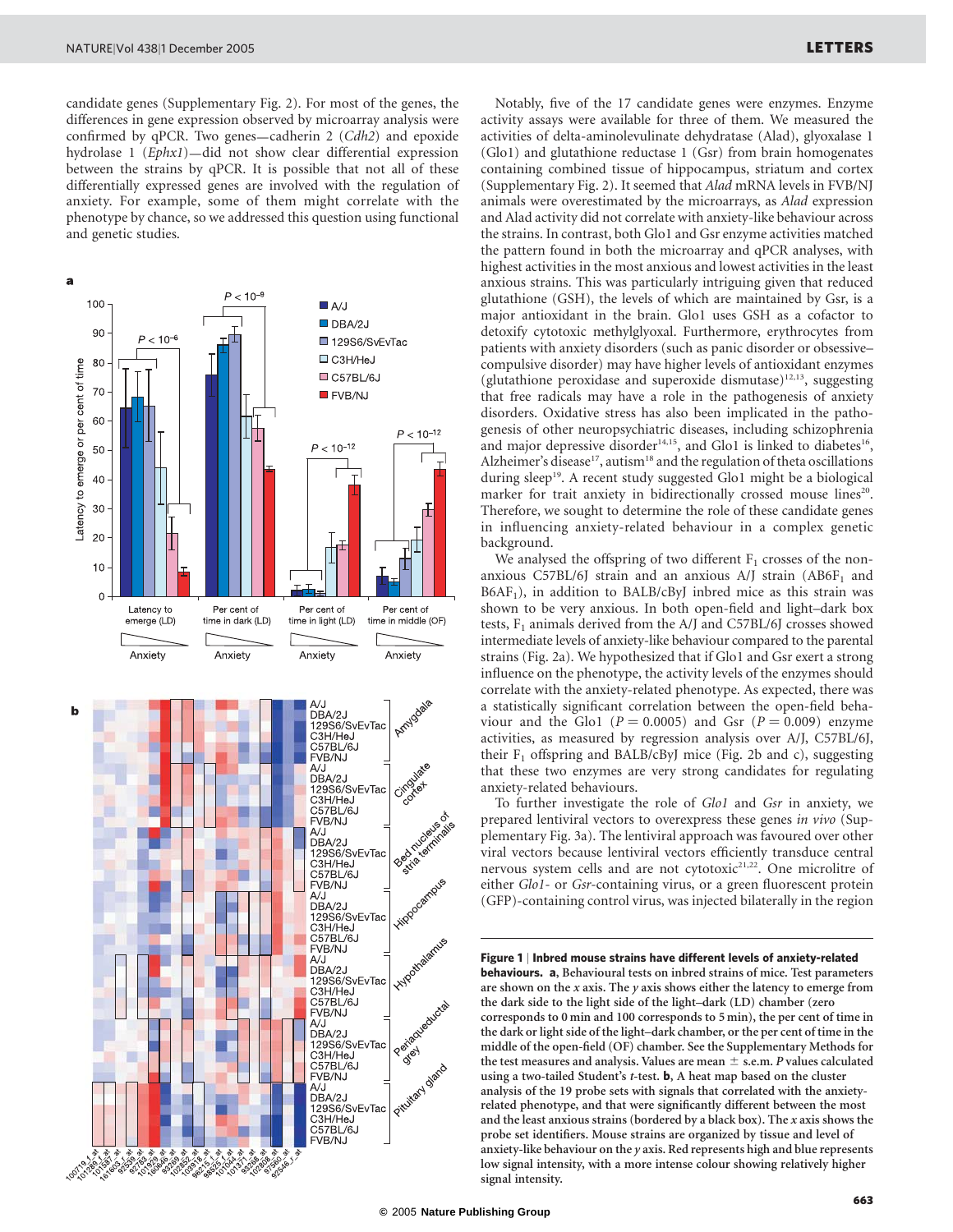candidate genes (Supplementary Fig. 2). For most of the genes, the differences in gene expression observed by microarray analysis were confirmed by qPCR. Two genes—cadherin 2 (Cdh2) and epoxide hydrolase 1 (Ephx1)—did not show clear differential expression between the strains by qPCR. It is possible that not all of these differentially expressed genes are involved with the regulation of anxiety. For example, some of them might correlate with the phenotype by chance, so we addressed this question using functional and genetic studies.



Notably, five of the 17 candidate genes were enzymes. Enzyme activity assays were available for three of them. We measured the activities of delta-aminolevulinate dehydratase (Alad), glyoxalase 1 (Glo1) and glutathione reductase 1 (Gsr) from brain homogenates containing combined tissue of hippocampus, striatum and cortex (Supplementary Fig. 2). It seemed that Alad mRNA levels in FVB/NJ animals were overestimated by the microarrays, as Alad expression and Alad activity did not correlate with anxiety-like behaviour across the strains. In contrast, both Glo1 and Gsr enzyme activities matched the pattern found in both the microarray and qPCR analyses, with highest activities in the most anxious and lowest activities in the least anxious strains. This was particularly intriguing given that reduced glutathione (GSH), the levels of which are maintained by Gsr, is a major antioxidant in the brain. Glo1 uses GSH as a cofactor to detoxify cytotoxic methylglyoxal. Furthermore, erythrocytes from patients with anxiety disorders (such as panic disorder or obsessive– compulsive disorder) may have higher levels of antioxidant enzymes (glutathione peroxidase and superoxide dismutase)12,13, suggesting that free radicals may have a role in the pathogenesis of anxiety disorders. Oxidative stress has also been implicated in the pathogenesis of other neuropsychiatric diseases, including schizophrenia and major depressive disorder<sup>14,15</sup>, and Glo1 is linked to diabetes<sup>16</sup>, Alzheimer's disease<sup>17</sup>, autism<sup>18</sup> and the regulation of theta oscillations during sleep<sup>19</sup>. A recent study suggested Glo1 might be a biological marker for trait anxiety in bidirectionally crossed mouse lines<sup>20</sup>. Therefore, we sought to determine the role of these candidate genes in influencing anxiety-related behaviour in a complex genetic background.

We analysed the offspring of two different  $F_1$  crosses of the nonanxious  $C57BL/6J$  strain and an anxious A/J strain  $(AB6F<sub>1</sub>$  and  $B6AF<sub>1</sub>$ ), in addition to BALB/cByJ inbred mice as this strain was shown to be very anxious. In both open-field and light–dark box tests,  $F_1$  animals derived from the A/J and C57BL/6J crosses showed intermediate levels of anxiety-like behaviour compared to the parental strains (Fig. 2a). We hypothesized that if Glo1 and Gsr exert a strong influence on the phenotype, the activity levels of the enzymes should correlate with the anxiety-related phenotype. As expected, there was a statistically significant correlation between the open-field behaviour and the Glo1 ( $P = 0.0005$ ) and Gsr ( $P = 0.009$ ) enzyme activities, as measured by regression analysis over A/J, C57BL/6J, their  $F_1$  offspring and BALB/cByJ mice (Fig. 2b and c), suggesting that these two enzymes are very strong candidates for regulating anxiety-related behaviours.

To further investigate the role of Glo1 and Gsr in anxiety, we prepared lentiviral vectors to overexpress these genes in vivo (Supplementary Fig. 3a). The lentiviral approach was favoured over other viral vectors because lentiviral vectors efficiently transduce central nervous system cells and are not cytotoxic<sup>21,22</sup>. One microlitre of either Glo1- or Gsr-containing virus, or a green fluorescent protein (GFP)-containing control virus, was injected bilaterally in the region

Figure 1 | Inbred mouse strains have different levels of anxiety-related behaviours. a, Behavioural tests on inbred strains of mice. Test parameters are shown on the  $x$  axis. The  $y$  axis shows either the latency to emerge from the dark side to the light side of the light–dark (LD) chamber (zero corresponds to 0 min and 100 corresponds to 5 min), the per cent of time in the dark or light side of the light–dark chamber, or the per cent of time in the middle of the open-field (OF) chamber. See the Supplementary Methods for the test measures and analysis. Values are mean  $\pm$  s.e.m. P values calculated using a two-tailed Student's t-test. b, A heat map based on the cluster analysis of the 19 probe sets with signals that correlated with the anxietyrelated phenotype, and that were significantly different between the most and the least anxious strains (bordered by a black box). The  $x$  axis shows the probe set identifiers. Mouse strains are organized by tissue and level of anxiety-like behaviour on the  $y$  axis. Red represents high and blue represents low signal intensity, with a more intense colour showing relatively higher signal intensity.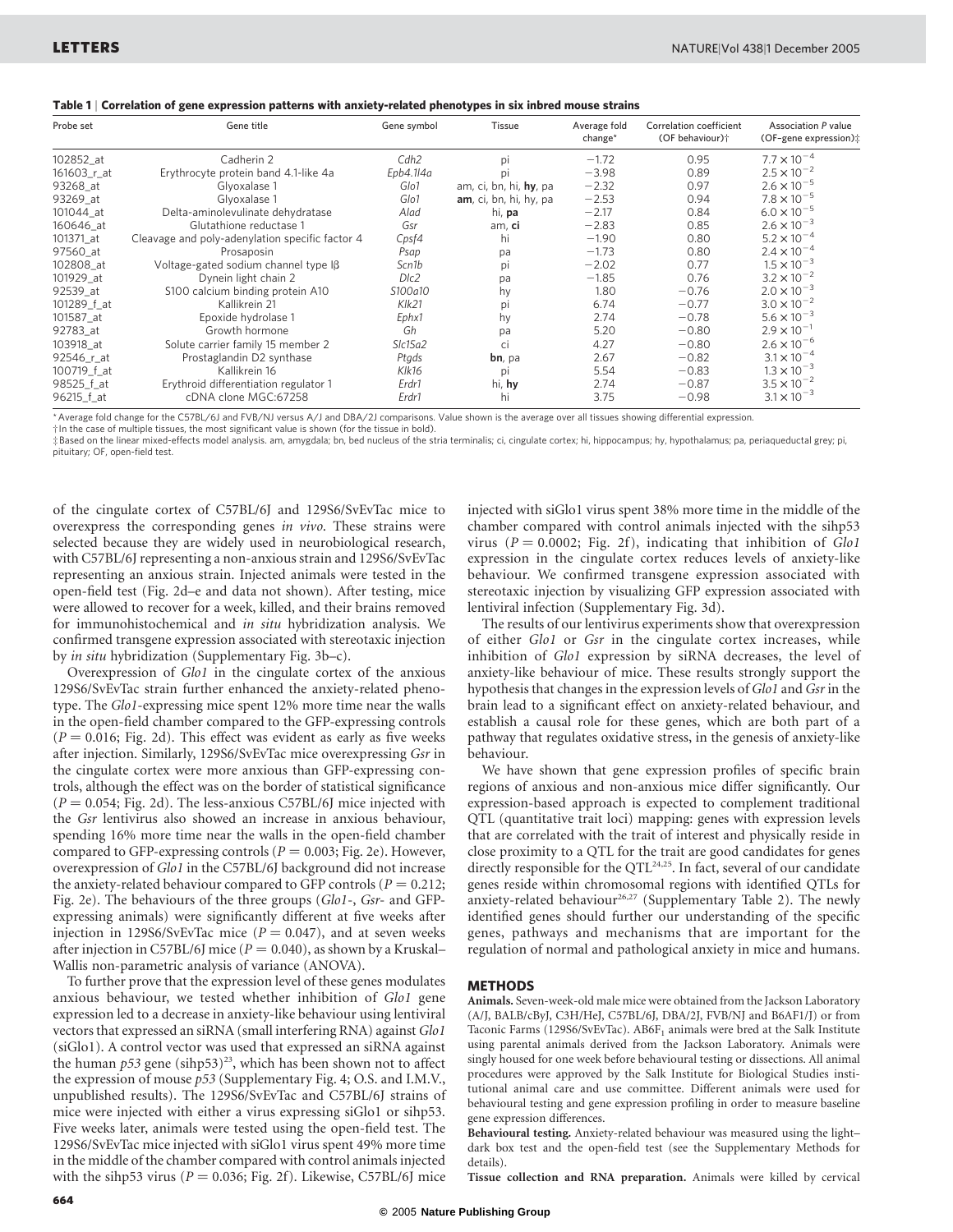| Probe set   | Gene title                                      | Gene symbol      | <b>Tissue</b>          | Average fold<br>change* | Correlation coefficient<br>(OF behaviour) <sup>+</sup> | Association P value<br>(OF-gene expression): |
|-------------|-------------------------------------------------|------------------|------------------------|-------------------------|--------------------------------------------------------|----------------------------------------------|
| 102852_at   | Cadherin 2                                      | Cdh2             | DI                     | $-1.72$                 | 0.95                                                   | $7.7 \times 10^{-4}$                         |
| 161603_r_at | Erythrocyte protein band 4.1-like 4a            | Epb4.114a        | DI                     | $-3.98$                 | 0.89                                                   | $2.5 \times 10^{-2}$                         |
| 93268 at    | Glyoxalase 1                                    | Glo1             | am, ci, bn, hi, hy, pa | $-2.32$                 | 0.97                                                   | $2.6 \times 10^{-5}$                         |
| 93269 at    | Glyoxalase 1                                    | Glo1             | am, ci, bn, hi, hy, pa | $-2.53$                 | 0.94                                                   | $7.8 \times 10^{-5}$                         |
| 101044 at   | Delta-aminolevulinate dehydratase               | Alad             | hi, <b>pa</b>          | $-2.17$                 | 0.84                                                   | $6.0 \times 10^{-5}$                         |
| 160646 at   | Glutathione reductase 1                         | Gsr              | am, ci                 | $-2.83$                 | 0.85                                                   | $2.6 \times 10^{-3}$                         |
| 101371 at   | Cleavage and poly-adenylation specific factor 4 | Cpsf4            | hi                     | $-1.90$                 | 0.80                                                   | $5.2 \times 10^{-4}$                         |
| 97560 at    | Prosaposin                                      | Psap             | pa                     | $-1.73$                 | 0.80                                                   | $2.4 \times 10^{-4}$                         |
| 102808 at   | Voltage-gated sodium channel type Iß            | Scn1b            | рi                     | $-2.02$                 | 0.77                                                   | $1.5 \times 10^{-3}$                         |
| 101929 at   | Dynein light chain 2                            | DIc <sub>2</sub> | pa                     | $-1.85$                 | 0.76                                                   | $3.2 \times 10^{-2}$                         |
| 92539 at    | S100 calcium binding protein A10                | S100a10          | hy                     | 1.80                    | $-0.76$                                                | $2.0 \times 10^{-3}$                         |
| 101289 f at | Kallikrein 21                                   | Klk21            | pi                     | 6.74                    | $-0.77$                                                | $3.0 \times 10^{-2}$                         |
| 101587 at   | Epoxide hydrolase 1                             | Ephx1            | hy                     | 2.74                    | $-0.78$                                                | $5.6 \times 10^{-3}$                         |
| 92783 at    | Growth hormone                                  | Gh               | pa                     | 5.20                    | $-0.80$                                                | $2.9 \times 10^{-1}$                         |
| 103918 at   | Solute carrier family 15 member 2               | Slc15a2          | ci                     | 4.27                    | $-0.80$                                                | $2.6 \times 10^{-6}$                         |
| 92546 r at  | Prostaglandin D2 synthase                       | Ptgds            | <b>bn</b> , pa         | 2.67                    | $-0.82$                                                | $3.1 \times 10^{-4}$                         |
| 100719_f_at | Kallikrein 16                                   | Klk16            | pi                     | 5.54                    | $-0.83$                                                | $1.3 \times 10^{-3}$                         |
| 98525 f at  | Erythroid differentiation regulator 1           | Erdr1            | hi, hy                 | 2.74                    | $-0.87$                                                | $3.5 \times 10^{-2}$                         |
| 96215 f at  | cDNA clone MGC:67258                            | Erdr1            | hi                     | 3.75                    | $-0.98$                                                | $3.1 \times 10^{-3}$                         |

Table 1 | Correlation of gene expression patterns with anxiety-related phenotypes in six inbred mouse strains

\*Average fold change for the C57BL/6J and FVB/NJ versus A/J and DBA/2J comparisons. Value shown is the average over all tissues showing differential expression.

†In the case of multiple tissues, the most significant value is shown (for the tissue in bold).

‡Based on the linear mixed-effects model analysis. am, amygdala; bn, bed nucleus of the stria terminalis; ci, cingulate cortex; hi, hippocampus; hy, hypothalamus; pa, periaqueductal grey; pi, pituitary; OF, open-field test.

of the cingulate cortex of C57BL/6J and 129S6/SvEvTac mice to overexpress the corresponding genes in vivo. These strains were selected because they are widely used in neurobiological research, with C57BL/6J representing a non-anxious strain and 129S6/SvEvTac representing an anxious strain. Injected animals were tested in the open-field test (Fig. 2d–e and data not shown). After testing, mice were allowed to recover for a week, killed, and their brains removed for immunohistochemical and in situ hybridization analysis. We confirmed transgene expression associated with stereotaxic injection by in situ hybridization (Supplementary Fig. 3b–c).

Overexpression of Glo1 in the cingulate cortex of the anxious 129S6/SvEvTac strain further enhanced the anxiety-related phenotype. The Glo1-expressing mice spent 12% more time near the walls in the open-field chamber compared to the GFP-expressing controls  $(P = 0.016;$  Fig. 2d). This effect was evident as early as five weeks after injection. Similarly, 129S6/SvEvTac mice overexpressing Gsr in the cingulate cortex were more anxious than GFP-expressing controls, although the effect was on the border of statistical significance  $(P = 0.054; Fig. 2d)$ . The less-anxious C57BL/6J mice injected with the Gsr lentivirus also showed an increase in anxious behaviour, spending 16% more time near the walls in the open-field chamber compared to GFP-expressing controls ( $P = 0.003$ ; Fig. 2e). However, overexpression of Glo1 in the C57BL/6J background did not increase the anxiety-related behaviour compared to GFP controls ( $P = 0.212$ ; Fig. 2e). The behaviours of the three groups (Glo1-, Gsr- and GFPexpressing animals) were significantly different at five weeks after injection in 129S6/SvEvTac mice ( $P = 0.047$ ), and at seven weeks after injection in C57BL/6J mice ( $P = 0.040$ ), as shown by a Kruskal– Wallis non-parametric analysis of variance (ANOVA).

To further prove that the expression level of these genes modulates anxious behaviour, we tested whether inhibition of Glo1 gene expression led to a decrease in anxiety-like behaviour using lentiviral vectors that expressed an siRNA (small interfering RNA) against Glo1 (siGlo1). A control vector was used that expressed an siRNA against the human  $p53$  gene (sihp $53$ )<sup>23</sup>, which has been shown not to affect the expression of mouse p53 (Supplementary Fig. 4; O.S. and I.M.V., unpublished results). The 129S6/SvEvTac and C57BL/6J strains of mice were injected with either a virus expressing siGlo1 or sihp53. Five weeks later, animals were tested using the open-field test. The 129S6/SvEvTac mice injected with siGlo1 virus spent 49% more time in the middle of the chamber compared with control animals injected with the sihp53 virus ( $P = 0.036$ ; Fig. 2f). Likewise, C57BL/6J mice

injected with siGlo1 virus spent 38% more time in the middle of the chamber compared with control animals injected with the sihp53 virus ( $P = 0.0002$ ; Fig. 2f), indicating that inhibition of Glo1 expression in the cingulate cortex reduces levels of anxiety-like behaviour. We confirmed transgene expression associated with stereotaxic injection by visualizing GFP expression associated with lentiviral infection (Supplementary Fig. 3d).

The results of our lentivirus experiments show that overexpression of either Glo1 or Gsr in the cingulate cortex increases, while inhibition of Glo1 expression by siRNA decreases, the level of anxiety-like behaviour of mice. These results strongly support the hypothesis that changes in the expression levels of Glo1 and Gsr in the brain lead to a significant effect on anxiety-related behaviour, and establish a causal role for these genes, which are both part of a pathway that regulates oxidative stress, in the genesis of anxiety-like behaviour.

We have shown that gene expression profiles of specific brain regions of anxious and non-anxious mice differ significantly. Our expression-based approach is expected to complement traditional QTL (quantitative trait loci) mapping: genes with expression levels that are correlated with the trait of interest and physically reside in close proximity to a QTL for the trait are good candidates for genes directly responsible for the QTL<sup>24,25</sup>. In fact, several of our candidate genes reside within chromosomal regions with identified QTLs for anxiety-related behaviour<sup>26,27</sup> (Supplementary Table 2). The newly identified genes should further our understanding of the specific genes, pathways and mechanisms that are important for the regulation of normal and pathological anxiety in mice and humans.

## METHODS

Animals. Seven-week-old male mice were obtained from the Jackson Laboratory (A/J, BALB/cByJ, C3H/HeJ, C57BL/6J, DBA/2J, FVB/NJ and B6AF1/J) or from Taconic Farms (129S6/SvEvTac). AB6F<sub>1</sub> animals were bred at the Salk Institute using parental animals derived from the Jackson Laboratory. Animals were singly housed for one week before behavioural testing or dissections. All animal procedures were approved by the Salk Institute for Biological Studies institutional animal care and use committee. Different animals were used for behavioural testing and gene expression profiling in order to measure baseline gene expression differences.

Behavioural testing. Anxiety-related behaviour was measured using the light– dark box test and the open-field test (see the Supplementary Methods for details).

Tissue collection and RNA preparation. Animals were killed by cervical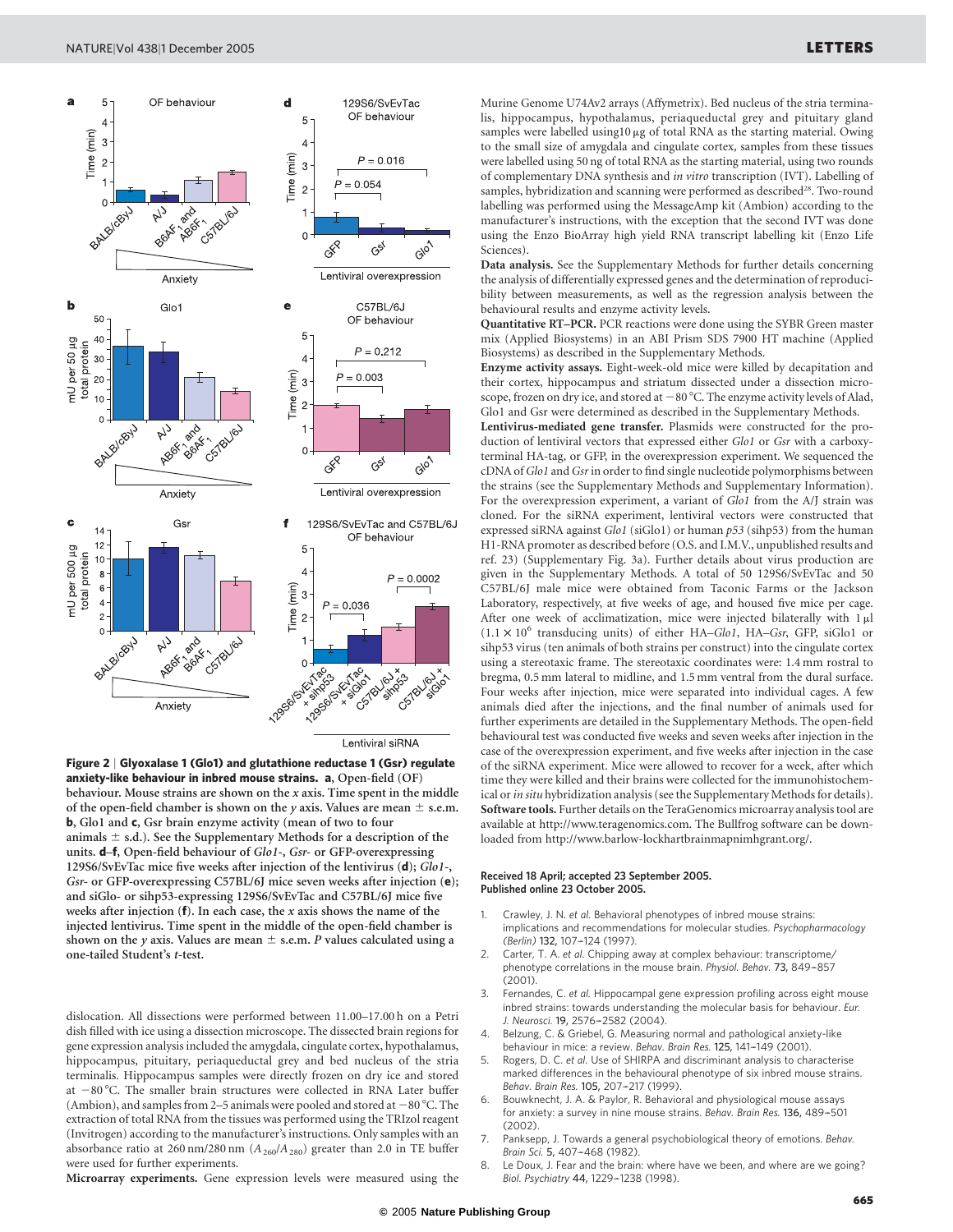

Figure 2 | Glyoxalase 1 (Glo1) and glutathione reductase 1 (Gsr) regulate anxiety-like behaviour in inbred mouse strains. a, Open-field (OF) behaviour. Mouse strains are shown on the  $x$  axis. Time spent in the middle of the open-field chamber is shown on the *y* axis. Values are mean  $\pm$  s.e.m. **b**, Glo1 and **c**, Gsr brain enzyme activity (mean of two to four animals  $\pm$  s.d.). See the Supplementary Methods for a description of the units. d-f, Open-field behaviour of Glo1-, Gsr- or GFP-overexpressing 129S6/SvEvTac mice five weeks after injection of the lentivirus (d); Glo1-, Gsr- or GFP-overexpressing C57BL/6J mice seven weeks after injection (e); and siGlo- or sihp53-expressing 129S6/SvEvTac and C57BL/6J mice five weeks after injection  $(f)$ . In each case, the x axis shows the name of the injected lentivirus. Time spent in the middle of the open-field chamber is shown on the *y* axis. Values are mean  $\pm$  s.e.m. *P* values calculated using a one-tailed Student's t-test.

dislocation. All dissections were performed between 11.00–17.00 h on a Petri dish filled with ice using a dissection microscope. The dissected brain regions for gene expression analysis included the amygdala, cingulate cortex, hypothalamus, hippocampus, pituitary, periaqueductal grey and bed nucleus of the stria terminalis. Hippocampus samples were directly frozen on dry ice and stored at  $-80^{\circ}$ C. The smaller brain structures were collected in RNA Later buffer (Ambion), and samples from 2–5 animals were pooled and stored at  $-80^{\circ}$ C. The extraction of total RNA from the tissues was performed using the TRIzol reagent (Invitrogen) according to the manufacturer's instructions. Only samples with an absorbance ratio at 260 nm/280 nm  $(A_{260}/A_{280})$  greater than 2.0 in TE buffer were used for further experiments.

Microarray experiments. Gene expression levels were measured using the

Murine Genome U74Av2 arrays (Affymetrix). Bed nucleus of the stria terminalis, hippocampus, hypothalamus, periaqueductal grey and pituitary gland samples were labelled using10  $\mu$ g of total RNA as the starting material. Owing to the small size of amygdala and cingulate cortex, samples from these tissues were labelled using 50 ng of total RNA as the starting material, using two rounds of complementary DNA synthesis and in vitro transcription (IVT). Labelling of samples, hybridization and scanning were performed as described<sup>28</sup>. Two-round labelling was performed using the MessageAmp kit (Ambion) according to the manufacturer's instructions, with the exception that the second IVT was done using the Enzo BioArray high yield RNA transcript labelling kit (Enzo Life Sciences).

Data analysis. See the Supplementary Methods for further details concerning the analysis of differentially expressed genes and the determination of reproducibility between measurements, as well as the regression analysis between the behavioural results and enzyme activity levels.

Quantitative RT–PCR. PCR reactions were done using the SYBR Green master mix (Applied Biosystems) in an ABI Prism SDS 7900 HT machine (Applied Biosystems) as described in the Supplementary Methods.

Enzyme activity assays. Eight-week-old mice were killed by decapitation and their cortex, hippocampus and striatum dissected under a dissection microscope, frozen on dry ice, and stored at  $-80^{\circ}$ C. The enzyme activity levels of Alad, Glo1 and Gsr were determined as described in the Supplementary Methods.

Lentivirus-mediated gene transfer. Plasmids were constructed for the production of lentiviral vectors that expressed either Glo1 or Gsr with a carboxyterminal HA-tag, or GFP, in the overexpression experiment. We sequenced the cDNA of Glo1 and Gsrin order to find single nucleotide polymorphisms between the strains (see the Supplementary Methods and Supplementary Information). For the overexpression experiment, a variant of Glo1 from the A/J strain was cloned. For the siRNA experiment, lentiviral vectors were constructed that expressed siRNA against Glo1 (siGlo1) or human p53 (sihp53) from the human H1-RNA promoter as described before (O.S. and I.M.V., unpublished results and ref. 23) (Supplementary Fig. 3a). Further details about virus production are given in the Supplementary Methods. A total of 50 129S6/SvEvTac and 50 C57BL/6J male mice were obtained from Taconic Farms or the Jackson Laboratory, respectively, at five weeks of age, and housed five mice per cage. After one week of acclimatization, mice were injected bilaterally with  $1 \mu$ l  $(1.1 \times 10^6$  transducing units) of either HA-Glo1, HA-Gsr, GFP, siGlo1 or sihp53 virus (ten animals of both strains per construct) into the cingulate cortex using a stereotaxic frame. The stereotaxic coordinates were: 1.4 mm rostral to bregma, 0.5 mm lateral to midline, and 1.5 mm ventral from the dural surface. Four weeks after injection, mice were separated into individual cages. A few animals died after the injections, and the final number of animals used for further experiments are detailed in the Supplementary Methods. The open-field behavioural test was conducted five weeks and seven weeks after injection in the case of the overexpression experiment, and five weeks after injection in the case of the siRNA experiment. Mice were allowed to recover for a week, after which time they were killed and their brains were collected for the immunohistochemical or in situ hybridization analysis (see the Supplementary Methods for details). Software tools. Further details on the TeraGenomics microarray analysis tool are available at http://www.teragenomics.com. The Bullfrog software can be downloaded from http://www.barlow-lockhartbrainmapnimhgrant.org/.

## Received 18 April; accepted 23 September 2005. Published online 23 October 2005.

- Crawley, J. N. et al. Behavioral phenotypes of inbred mouse strains: implications and recommendations for molecular studies. Psychopharmacology (Berlin) 132, 107-124 (1997).
- 2. Carter, T. A. et al. Chipping away at complex behaviour: transcriptome/ phenotype correlations in the mouse brain. Physiol. Behav. 73, 849-857  $(2001)$
- 3. Fernandes, C. et al. Hippocampal gene expression profiling across eight mouse inbred strains: towards understanding the molecular basis for behaviour. Eur. J. Neurosci. 19, 2576-2582 (2004).
- 4. Belzung, C. & Griebel, G. Measuring normal and pathological anxiety-like behaviour in mice: a review. Behav. Brain Res. 125, 141-149 (2001).
- 5. Rogers, D. C. et al. Use of SHIRPA and discriminant analysis to characterise marked differences in the behavioural phenotype of six inbred mouse strains. Behav. Brain Res. 105, 207-217 (1999).
- 6. Bouwknecht, J. A. & Paylor, R. Behavioral and physiological mouse assays for anxiety: a survey in nine mouse strains. Behav. Brain Res. 136, 489-501 (2002).
- 7. Panksepp, J. Towards a general psychobiological theory of emotions. Behav. Brain Sci. 5, 407-468 (1982).
- 8. Le Doux, J. Fear and the brain: where have we been, and where are we going? Biol. Psychiatry 44, 1229-1238 (1998).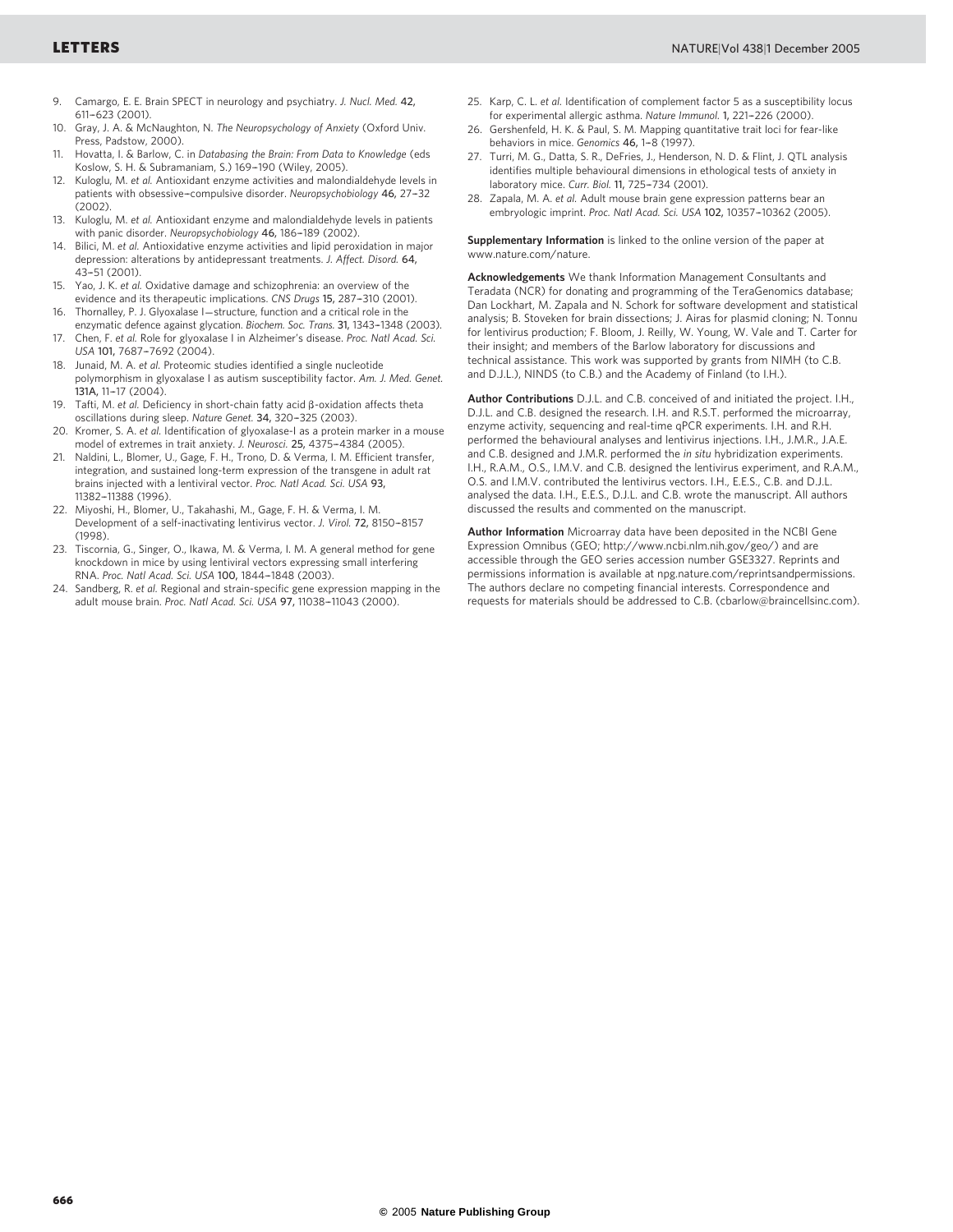- 9. Camargo, E. E. Brain SPECT in neurology and psychiatry. J. Nucl. Med. 42, 611-623 (2001).
- 10. Gray, J. A. & McNaughton, N. The Neuropsychology of Anxiety (Oxford Univ. Press, Padstow, 2000).
- 11. Hovatta, I. & Barlow, C. in Databasing the Brain: From Data to Knowledge (eds Koslow, S. H. & Subramaniam, S.) 169–-190 (Wiley, 2005).
- Kuloglu, M. et al. Antioxidant enzyme activities and malondialdehyde levels in patients with obsessive–compulsive disorder. Neuropsychobiology 46, 27-32 (2002).
- 13. Kuloglu, M. et al. Antioxidant enzyme and malondialdehyde levels in patients with panic disorder. Neuropsychobiology 46, 186-189 (2002).
- Bilici, M. et al. Antioxidative enzyme activities and lipid peroxidation in major depression: alterations by antidepressant treatments. J. Affect. Disord. 64, 43–51 (2001).
- 15. Yao, J. K. et al. Oxidative damage and schizophrenia: an overview of the evidence and its therapeutic implications. CNS Drugs 15, 287-310 (2001).
- 16. Thornalley, P. J. Glyoxalase I—structure, function and a critical role in the enzymatic defence against glycation. Biochem. Soc. Trans. 31, 1343-1348 (2003). 17. Chen, F. et al. Role for glyoxalase I in Alzheimer's disease. Proc. Natl Acad. Sci.
- USA 101, 7687-7692 (2004). 18. Junaid, M. A. et al. Proteomic studies identified a single nucleotide
- polymorphism in glyoxalase I as autism susceptibility factor. Am. J. Med. Genet. 131A, 11-17 (2004).
- 19. Tafti, M. et al. Deficiency in short-chain fatty acid  $\beta$ -oxidation affects theta oscillations during sleep. Nature Genet. 34, 320-325 (2003).
- 20. Kromer, S. A. et al. Identification of glyoxalase-I as a protein marker in a mouse model of extremes in trait anxiety. J. Neurosci. 25, 4375–-4384 (2005).
- 21. Naldini, L., Blomer, U., Gage, F. H., Trono, D. & Verma, I. M. Efficient transfer, integration, and sustained long-term expression of the transgene in adult rat brains injected with a lentiviral vector. Proc. Natl Acad. Sci. USA 93, 11382-11388 (1996).
- 22. Miyoshi, H., Blomer, U., Takahashi, M., Gage, F. H. & Verma, I. M. Development of a self-inactivating lentivirus vector. J. Virol. 72, 8150-8157 (1998).
- 23. Tiscornia, G., Singer, O., Ikawa, M. & Verma, I. M. A general method for gene knockdown in mice by using lentiviral vectors expressing small interfering RNA. Proc. Natl Acad. Sci. USA 100, 1844–-1848 (2003).
- 24. Sandberg, R. et al. Regional and strain-specific gene expression mapping in the adult mouse brain. Proc. Natl Acad. Sci. USA 97, 11038–-11043 (2000).
- 25. Karp, C. L. et al. Identification of complement factor 5 as a susceptibility locus for experimental allergic asthma. Nature Immunol. 1, 221-226 (2000).
- 26. Gershenfeld, H. K. & Paul, S. M. Mapping quantitative trait loci for fear-like behaviors in mice. Genomics 46, 1-8 (1997).
- 27. Turri, M. G., Datta, S. R., DeFries, J., Henderson, N. D. & Flint, J. QTL analysis identifies multiple behavioural dimensions in ethological tests of anxiety in laboratory mice. Curr. Biol. 11, 725–-734 (2001).
- 28. Zapala, M. A. et al. Adult mouse brain gene expression patterns bear an embryologic imprint. Proc. Natl Acad. Sci. USA 102, 10357-10362 (2005).

Supplementary Information is linked to the online version of the paper at www.nature.com/nature.

Acknowledgements We thank Information Management Consultants and Teradata (NCR) for donating and programming of the TeraGenomics database; Dan Lockhart, M. Zapala and N. Schork for software development and statistical analysis; B. Stoveken for brain dissections; J. Airas for plasmid cloning; N. Tonnu for lentivirus production; F. Bloom, J. Reilly, W. Young, W. Vale and T. Carter for their insight; and members of the Barlow laboratory for discussions and technical assistance. This work was supported by grants from NIMH (to C.B. and D.J.L.), NINDS (to C.B.) and the Academy of Finland (to I.H.).

Author Contributions D.J.L. and C.B. conceived of and initiated the project. I.H., D.J.L. and C.B. designed the research. I.H. and R.S.T. performed the microarray, enzyme activity, sequencing and real-time qPCR experiments. I.H. and R.H. performed the behavioural analyses and lentivirus injections. I.H., J.M.R., J.A.E. and C.B. designed and J.M.R. performed the in situ hybridization experiments. I.H., R.A.M., O.S., I.M.V. and C.B. designed the lentivirus experiment, and R.A.M., O.S. and I.M.V. contributed the lentivirus vectors. I.H., E.E.S., C.B. and D.J.L. analysed the data. I.H., E.E.S., D.J.L. and C.B. wrote the manuscript. All authors discussed the results and commented on the manuscript.

Author Information Microarray data have been deposited in the NCBI Gene Expression Omnibus (GEO; http://www.ncbi.nlm.nih.gov/geo/) and are accessible through the GEO series accession number GSE3327. Reprints and permissions information is available at npg.nature.com/reprintsandpermissions. The authors declare no competing financial interests. Correspondence and requests for materials should be addressed to C.B. (cbarlow@braincellsinc.com).